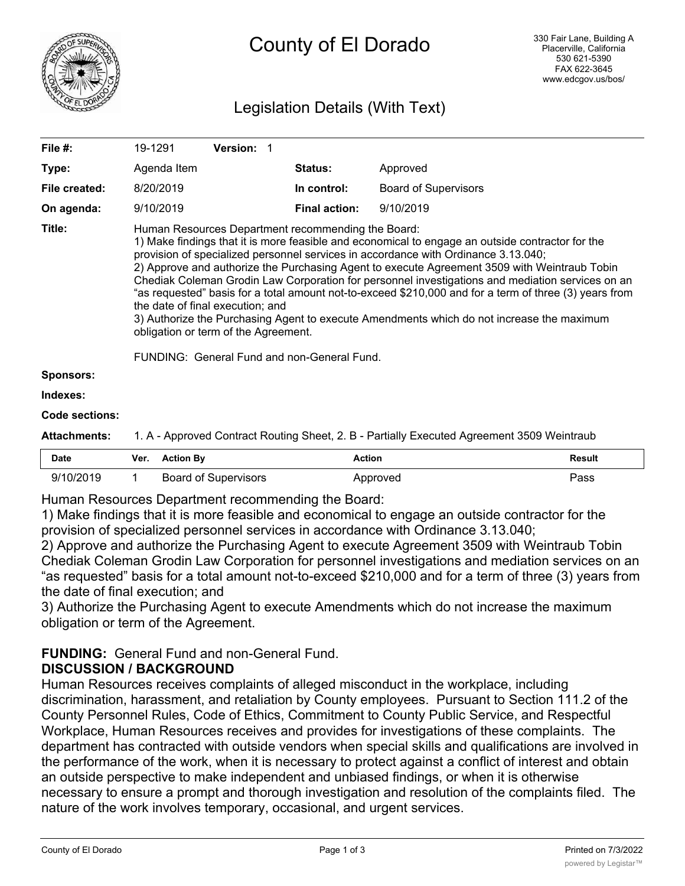

# County of El Dorado

## Legislation Details (With Text)

| File #:             | 19-1291                                                                                                                                                                                                                                                                                                                                                                                                                                                                                                                                                                                                                                                                                                                                                                            | <b>Version: 1</b> |                      |                             |  |
|---------------------|------------------------------------------------------------------------------------------------------------------------------------------------------------------------------------------------------------------------------------------------------------------------------------------------------------------------------------------------------------------------------------------------------------------------------------------------------------------------------------------------------------------------------------------------------------------------------------------------------------------------------------------------------------------------------------------------------------------------------------------------------------------------------------|-------------------|----------------------|-----------------------------|--|
| Type:               | Agenda Item                                                                                                                                                                                                                                                                                                                                                                                                                                                                                                                                                                                                                                                                                                                                                                        |                   | <b>Status:</b>       | Approved                    |  |
| File created:       | 8/20/2019                                                                                                                                                                                                                                                                                                                                                                                                                                                                                                                                                                                                                                                                                                                                                                          |                   | In control:          | <b>Board of Supervisors</b> |  |
| On agenda:          | 9/10/2019                                                                                                                                                                                                                                                                                                                                                                                                                                                                                                                                                                                                                                                                                                                                                                          |                   | <b>Final action:</b> | 9/10/2019                   |  |
| Title:              | Human Resources Department recommending the Board:<br>1) Make findings that it is more feasible and economical to engage an outside contractor for the<br>provision of specialized personnel services in accordance with Ordinance 3.13.040;<br>2) Approve and authorize the Purchasing Agent to execute Agreement 3509 with Weintraub Tobin<br>Chediak Coleman Grodin Law Corporation for personnel investigations and mediation services on an<br>"as requested" basis for a total amount not-to-exceed \$210,000 and for a term of three (3) years from<br>the date of final execution; and<br>3) Authorize the Purchasing Agent to execute Amendments which do not increase the maximum<br>obligation or term of the Agreement.<br>FUNDING: General Fund and non-General Fund. |                   |                      |                             |  |
| <b>Sponsors:</b>    |                                                                                                                                                                                                                                                                                                                                                                                                                                                                                                                                                                                                                                                                                                                                                                                    |                   |                      |                             |  |
| Indexes:            |                                                                                                                                                                                                                                                                                                                                                                                                                                                                                                                                                                                                                                                                                                                                                                                    |                   |                      |                             |  |
| Code sections:      |                                                                                                                                                                                                                                                                                                                                                                                                                                                                                                                                                                                                                                                                                                                                                                                    |                   |                      |                             |  |
| <b>Attachments:</b> | 1. A - Approved Contract Routing Sheet, 2. B - Partially Executed Agreement 3509 Weintraub                                                                                                                                                                                                                                                                                                                                                                                                                                                                                                                                                                                                                                                                                         |                   |                      |                             |  |

| <b>Date</b> | Ver. | <b>Action By</b>     | Action   | <b>Result</b> |
|-------------|------|----------------------|----------|---------------|
| 9/10/2019   |      | Board of Supervisors | Approved | Pass          |

Human Resources Department recommending the Board:

1) Make findings that it is more feasible and economical to engage an outside contractor for the provision of specialized personnel services in accordance with Ordinance 3.13.040;

2) Approve and authorize the Purchasing Agent to execute Agreement 3509 with Weintraub Tobin Chediak Coleman Grodin Law Corporation for personnel investigations and mediation services on an "as requested" basis for a total amount not-to-exceed \$210,000 and for a term of three (3) years from the date of final execution; and

3) Authorize the Purchasing Agent to execute Amendments which do not increase the maximum obligation or term of the Agreement.

#### **FUNDING:** General Fund and non-General Fund. **DISCUSSION / BACKGROUND**

Human Resources receives complaints of alleged misconduct in the workplace, including discrimination, harassment, and retaliation by County employees. Pursuant to Section 111.2 of the County Personnel Rules, Code of Ethics, Commitment to County Public Service, and Respectful Workplace, Human Resources receives and provides for investigations of these complaints. The department has contracted with outside vendors when special skills and qualifications are involved in the performance of the work, when it is necessary to protect against a conflict of interest and obtain an outside perspective to make independent and unbiased findings, or when it is otherwise necessary to ensure a prompt and thorough investigation and resolution of the complaints filed. The nature of the work involves temporary, occasional, and urgent services.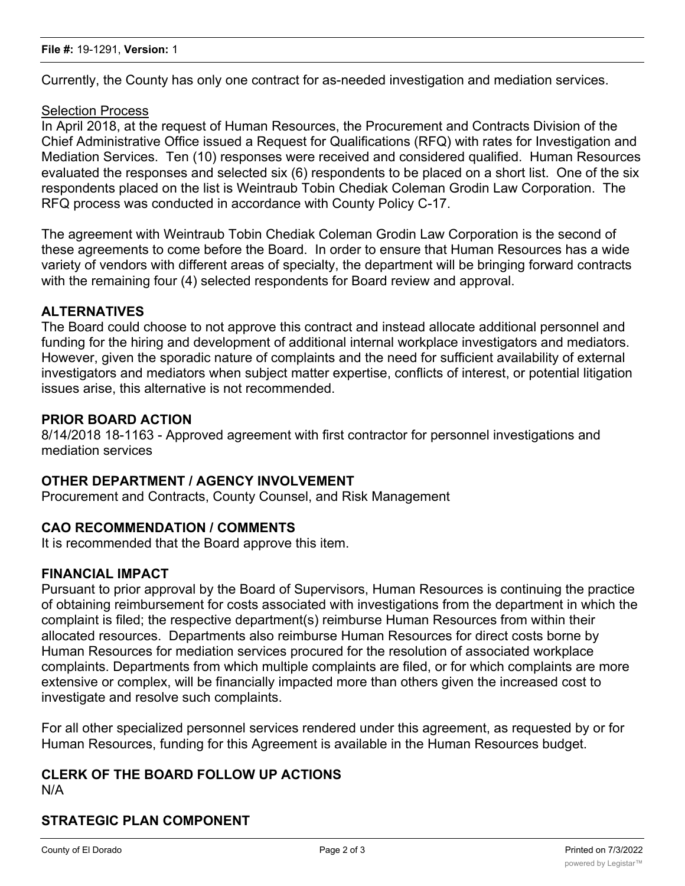Currently, the County has only one contract for as-needed investigation and mediation services.

#### Selection Process

In April 2018, at the request of Human Resources, the Procurement and Contracts Division of the Chief Administrative Office issued a Request for Qualifications (RFQ) with rates for Investigation and Mediation Services. Ten (10) responses were received and considered qualified. Human Resources evaluated the responses and selected six (6) respondents to be placed on a short list. One of the six respondents placed on the list is Weintraub Tobin Chediak Coleman Grodin Law Corporation. The RFQ process was conducted in accordance with County Policy C-17.

The agreement with Weintraub Tobin Chediak Coleman Grodin Law Corporation is the second of these agreements to come before the Board. In order to ensure that Human Resources has a wide variety of vendors with different areas of specialty, the department will be bringing forward contracts with the remaining four (4) selected respondents for Board review and approval.

#### **ALTERNATIVES**

The Board could choose to not approve this contract and instead allocate additional personnel and funding for the hiring and development of additional internal workplace investigators and mediators. However, given the sporadic nature of complaints and the need for sufficient availability of external investigators and mediators when subject matter expertise, conflicts of interest, or potential litigation issues arise, this alternative is not recommended.

#### **PRIOR BOARD ACTION**

8/14/2018 18-1163 - Approved agreement with first contractor for personnel investigations and mediation services

#### **OTHER DEPARTMENT / AGENCY INVOLVEMENT**

Procurement and Contracts, County Counsel, and Risk Management

#### **CAO RECOMMENDATION / COMMENTS**

It is recommended that the Board approve this item.

#### **FINANCIAL IMPACT**

Pursuant to prior approval by the Board of Supervisors, Human Resources is continuing the practice of obtaining reimbursement for costs associated with investigations from the department in which the complaint is filed; the respective department(s) reimburse Human Resources from within their allocated resources. Departments also reimburse Human Resources for direct costs borne by Human Resources for mediation services procured for the resolution of associated workplace complaints. Departments from which multiple complaints are filed, or for which complaints are more extensive or complex, will be financially impacted more than others given the increased cost to investigate and resolve such complaints.

For all other specialized personnel services rendered under this agreement, as requested by or for Human Resources, funding for this Agreement is available in the Human Resources budget.

#### **CLERK OF THE BOARD FOLLOW UP ACTIONS** N/A

#### **STRATEGIC PLAN COMPONENT**